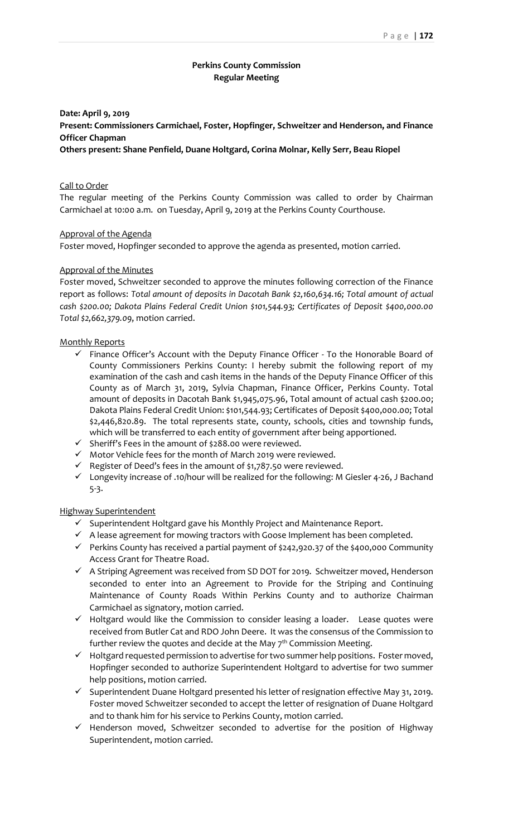## **Perkins County Commission Regular Meeting**

## **Date: April 9, 2019 Present: Commissioners Carmichael, Foster, Hopfinger, Schweitzer and Henderson, and Finance Officer Chapman Others present: Shane Penfield, Duane Holtgard, Corina Molnar, Kelly Serr, Beau Riopel**

#### Call to Order

The regular meeting of the Perkins County Commission was called to order by Chairman Carmichael at 10:00 a.m. on Tuesday, April 9, 2019 at the Perkins County Courthouse.

#### Approval of the Agenda

Foster moved, Hopfinger seconded to approve the agenda as presented, motion carried.

#### Approval of the Minutes

Foster moved, Schweitzer seconded to approve the minutes following correction of the Finance report as follows: *Total amount of deposits in Dacotah Bank \$2,160,634.16; Total amount of actual cash \$200.00; Dakota Plains Federal Credit Union \$101,544.93; Certificates of Deposit \$400,000.00 Total \$2,662,379.09*, motion carried.

#### Monthly Reports

- $\checkmark$  Finance Officer's Account with the Deputy Finance Officer To the Honorable Board of County Commissioners Perkins County: I hereby submit the following report of my examination of the cash and cash items in the hands of the Deputy Finance Officer of this County as of March 31, 2019, Sylvia Chapman, Finance Officer, Perkins County. Total amount of deposits in Dacotah Bank \$1,945,075.96, Total amount of actual cash \$200.00; Dakota Plains Federal Credit Union: \$101,544.93; Certificates of Deposit \$400,000.00; Total \$2,446,820.89. The total represents state, county, schools, cities and township funds, which will be transferred to each entity of government after being apportioned.
- $\checkmark$  Sheriff's Fees in the amount of \$288.00 were reviewed.
- ✓ Motor Vehicle fees for the month of March 2019 were reviewed.
- $\checkmark$  Register of Deed's fees in the amount of \$1,787.50 were reviewed.
- ✓ Longevity increase of .10/hour will be realized for the following: M Giesler 4-26, J Bachand 5-3.

## Highway Superintendent

- ✓ Superintendent Holtgard gave his Monthly Project and Maintenance Report.
- ✓ A lease agreement for mowing tractors with Goose Implement has been completed.
- ✓ Perkins County has received a partial payment of \$242,920.37 of the \$400,000 Community Access Grant for Theatre Road.
- ✓ A Striping Agreement was received from SD DOT for 2019. Schweitzer moved, Henderson seconded to enter into an Agreement to Provide for the Striping and Continuing Maintenance of County Roads Within Perkins County and to authorize Chairman Carmichael as signatory, motion carried.
- ✓ Holtgard would like the Commission to consider leasing a loader. Lease quotes were received from Butler Cat and RDO John Deere. It was the consensus of the Commission to further review the quotes and decide at the May  $7<sup>th</sup>$  Commission Meeting.
- $\checkmark$  Holtgard requested permission to advertise for two summer help positions. Foster moved, Hopfinger seconded to authorize Superintendent Holtgard to advertise for two summer help positions, motion carried.
- ✓ Superintendent Duane Holtgard presented his letter of resignation effective May 31, 2019. Foster moved Schweitzer seconded to accept the letter of resignation of Duane Holtgard and to thank him for his service to Perkins County, motion carried.
- ✓ Henderson moved, Schweitzer seconded to advertise for the position of Highway Superintendent, motion carried.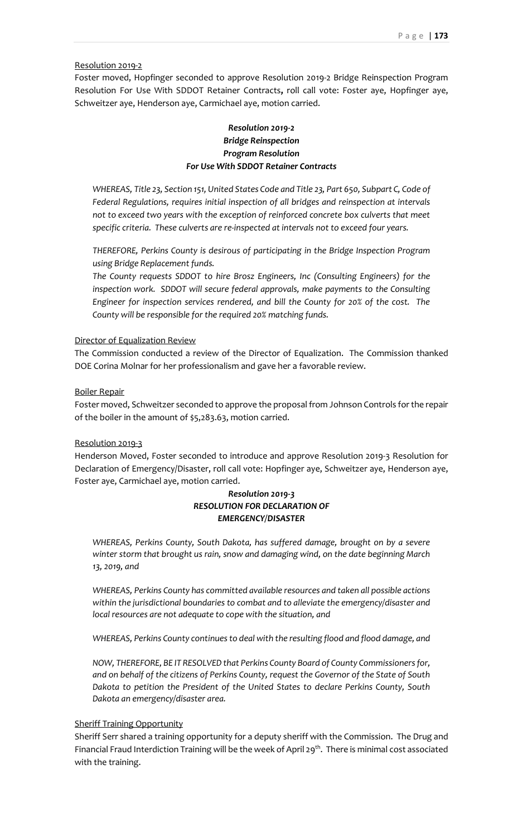#### Resolution 2019-2

Foster moved, Hopfinger seconded to approve Resolution 2019-2 Bridge Reinspection Program Resolution For Use With SDDOT Retainer Contracts**,** roll call vote: Foster aye, Hopfinger aye, Schweitzer aye, Henderson aye, Carmichael aye, motion carried.

# *Resolution 2019-2 Bridge Reinspection Program Resolution For Use With SDDOT Retainer Contracts*

*WHEREAS, Title 23, Section 151, United States Code and Title 23, Part 650, Subpart C, Code of Federal Regulations, requires initial inspection of all bridges and reinspection at intervals not to exceed two years with the exception of reinforced concrete box culverts that meet specific criteria. These culverts are re-inspected at intervals not to exceed four years.*

*THEREFORE, Perkins County is desirous of participating in the Bridge Inspection Program using Bridge Replacement funds.*

*The County requests SDDOT to hire Brosz Engineers, Inc (Consulting Engineers) for the inspection work. SDDOT will secure federal approvals, make payments to the Consulting Engineer for inspection services rendered, and bill the County for 20% of the cost. The County will be responsible for the required 20% matching funds.*

#### Director of Equalization Review

The Commission conducted a review of the Director of Equalization. The Commission thanked DOE Corina Molnar for her professionalism and gave her a favorable review.

#### Boiler Repair

Foster moved, Schweitzer seconded to approve the proposal from Johnson Controls for the repair of the boiler in the amount of \$5,283.63, motion carried.

#### Resolution 2019-3

Henderson Moved, Foster seconded to introduce and approve Resolution 2019-3 Resolution for Declaration of Emergency/Disaster, roll call vote: Hopfinger aye, Schweitzer aye, Henderson aye, Foster aye, Carmichael aye, motion carried.

## *Resolution 2019-3 RESOLUTION FOR DECLARATION OF EMERGENCY/DISASTER*

*WHEREAS, Perkins County, South Dakota, has suffered damage, brought on by a severe winter storm that brought us rain, snow and damaging wind, on the date beginning March 13, 2019, and*

*WHEREAS, Perkins County has committed available resources and taken all possible actions within the jurisdictional boundaries to combat and to alleviate the emergency/disaster and local resources are not adequate to cope with the situation, and*

*WHEREAS, Perkins County continues to deal with the resulting flood and flood damage, and*

*NOW, THEREFORE, BE IT RESOLVED that Perkins County Board of County Commissioners for, and on behalf of the citizens of Perkins County, request the Governor of the State of South Dakota to petition the President of the United States to declare Perkins County, South Dakota an emergency/disaster area.*

#### Sheriff Training Opportunity

Sheriff Serr shared a training opportunity for a deputy sheriff with the Commission. The Drug and Financial Fraud Interdiction Training will be the week of April 29<sup>th</sup>. There is minimal cost associated with the training.